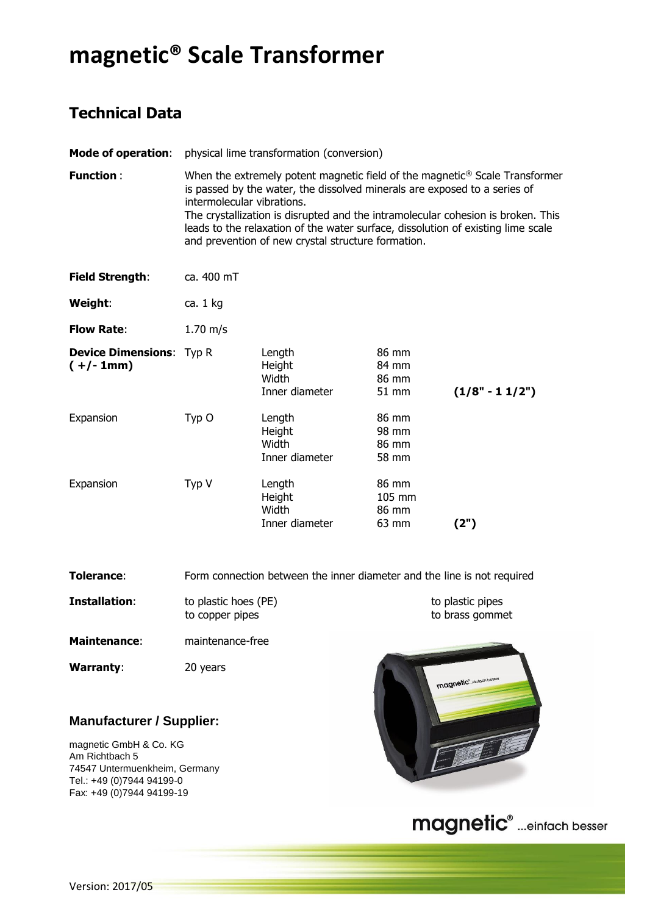## **magnetic® Scale Transformer**

## **Technical Data**

| <b>Mode of operation:</b>                      | physical lime transformation (conversion)                                                                                                                                                                                                                                                                                                                                                                                        |                                             |                                   |                  |
|------------------------------------------------|----------------------------------------------------------------------------------------------------------------------------------------------------------------------------------------------------------------------------------------------------------------------------------------------------------------------------------------------------------------------------------------------------------------------------------|---------------------------------------------|-----------------------------------|------------------|
| <b>Function:</b>                               | When the extremely potent magnetic field of the magnetic <sup>®</sup> Scale Transformer<br>is passed by the water, the dissolved minerals are exposed to a series of<br>intermolecular vibrations.<br>The crystallization is disrupted and the intramolecular cohesion is broken. This<br>leads to the relaxation of the water surface, dissolution of existing lime scale<br>and prevention of new crystal structure formation. |                                             |                                   |                  |
| <b>Field Strength:</b>                         | ca. 400 mT                                                                                                                                                                                                                                                                                                                                                                                                                       |                                             |                                   |                  |
| Weight:                                        | ca. $1$ kg                                                                                                                                                                                                                                                                                                                                                                                                                       |                                             |                                   |                  |
| <b>Flow Rate:</b>                              | $1.70 \; \text{m/s}$                                                                                                                                                                                                                                                                                                                                                                                                             |                                             |                                   |                  |
| <b>Device Dimensions:</b> Typ R<br>$(+/- 1mm)$ |                                                                                                                                                                                                                                                                                                                                                                                                                                  | Length<br>Height<br>Width<br>Inner diameter | 86 mm<br>84 mm<br>86 mm<br>51 mm  | $(1/8" - 11/2")$ |
| Expansion                                      | Typ O                                                                                                                                                                                                                                                                                                                                                                                                                            | Length<br>Height<br>Width<br>Inner diameter | 86 mm<br>98 mm<br>86 mm<br>58 mm  |                  |
| Expansion                                      | Typ V                                                                                                                                                                                                                                                                                                                                                                                                                            | Length<br>Height<br>Width<br>Inner diameter | 86 mm<br>105 mm<br>86 mm<br>63 mm | (2")             |

**Tolerance:** Form connection between the inner diameter and the line is not required

| Installation:       | to plastic hoes (PE)<br>to copper pipes |  |  |
|---------------------|-----------------------------------------|--|--|
| <b>Maintenance:</b> | maintenance-free                        |  |  |

**Warranty**: 20 years

## **Manufacturer / Supplier:**

magnetic GmbH & Co. KG Am Richtbach 5 74547 Untermuenkheim, Germany Tel.: +49 (0)7944 94199-0 Fax: +49 (0)7944 94199-19



to plastic pipes to brass gommet

magnetic<sup>®</sup> ...einfach besser